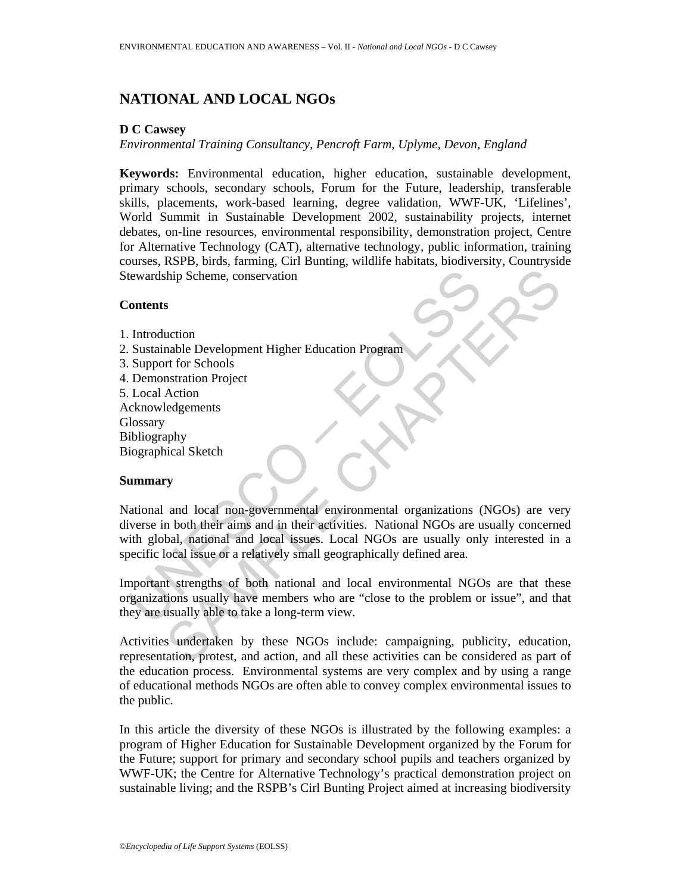## **NATIONAL AND LOCAL NGOs**

## **D C Cawsey**

*Environmental Training Consultancy, Pencroft Farm, Uplyme, Devon, England* 

**Keywords:** Environmental education, higher education, sustainable development, primary schools, secondary schools, Forum for the Future, leadership, transferable skills, placements, work-based learning, degree validation, WWF-UK, 'Lifelines', World Summit in Sustainable Development 2002, sustainability projects, internet debates, on-line resources, environmental responsibility, demonstration project, Centre for Alternative Technology (CAT), alternative technology, public information, training courses, RSPB, birds, farming, Cirl Bunting, wildlife habitats, biodiversity, Countryside Stewardship Scheme, conservation

## **Contents**

- 1. Introduction
- 2. Sustainable Development Higher Education Program
- 3. Support for Schools
- 4. Demonstration Project
- 5. Local Action
- Acknowledgements
- **Glossary**
- Bibliography
- Biographical Sketch

## **Summary**

Example Scheme, conservation<br>
Unterstanding Scheme, conservation<br>
Unterstanding Development Higher Education Program<br>
Unterstanding Development Higher Education Program<br>
Uncel Action<br>
Uncel Action<br>
Uncel Action<br>
Unterstand Solution<br>
S<br>
S<br>
S<br>
S<br>
S<br>
Continent Continues<br>
The Continues<br>
The Continues<br>
Continues<br>
The Continues<br>
Chapter Education Program<br>
The Continues<br>
Shartan Project<br>
S<br>
S<br>
S<br>
S<br>
and local non-governmental environmental organiza National and local non-governmental environmental organizations (NGOs) are very diverse in both their aims and in their activities. National NGOs are usually concerned with global, national and local issues. Local NGOs are usually only interested in a specific local issue or a relatively small geographically defined area.

Important strengths of both national and local environmental NGOs are that these organizations usually have members who are "close to the problem or issue", and that they are usually able to take a long-term view.

Activities undertaken by these NGOs include: campaigning, publicity, education, representation, protest, and action, and all these activities can be considered as part of the education process. Environmental systems are very complex and by using a range of educational methods NGOs are often able to convey complex environmental issues to the public.

In this article the diversity of these NGOs is illustrated by the following examples: a program of Higher Education for Sustainable Development organized by the Forum for the Future; support for primary and secondary school pupils and teachers organized by WWF-UK; the Centre for Alternative Technology's practical demonstration project on sustainable living; and the RSPB's Cirl Bunting Project aimed at increasing biodiversity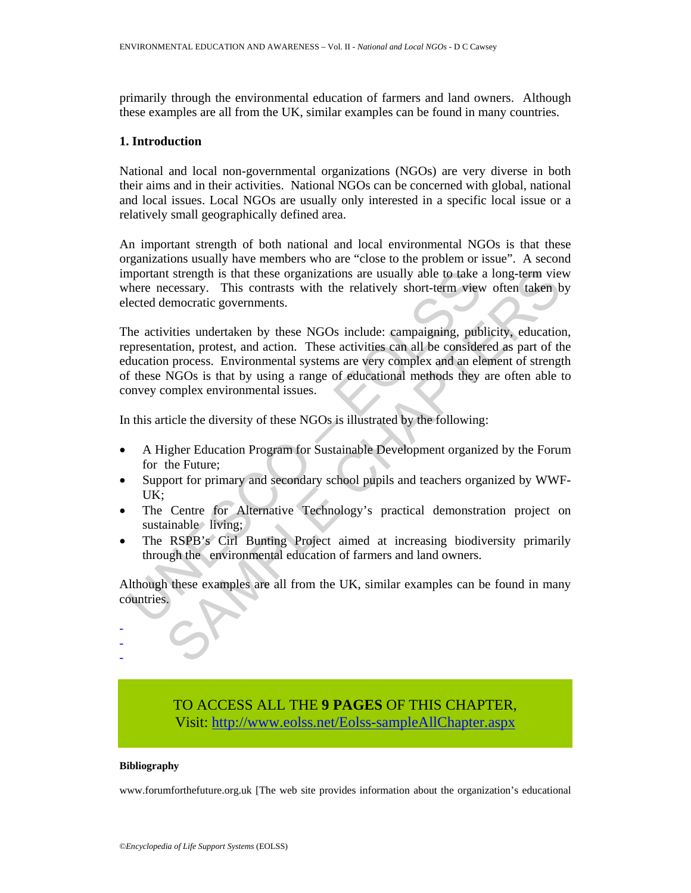primarily through the environmental education of farmers and land owners. Although these examples are all from the UK, similar examples can be found in many countries.

#### **1. Introduction**

National and local non-governmental organizations (NGOs) are very diverse in both their aims and in their activities. National NGOs can be concerned with global, national and local issues. Local NGOs are usually only interested in a specific local issue or a relatively small geographically defined area.

An important strength of both national and local environmental NGOs is that these organizations usually have members who are "close to the problem or issue". A second important strength is that these organizations are usually able to take a long-term view where necessary. This contrasts with the relatively short-term view often taken by elected democratic governments.

mortant strength is that these organizations are usually able to take there necessary. This contrasts with the relatively short-term view<br>ected democratic governments.<br>
the activities undertaken by these NGOs include: camp It strength is that these organizations are usually able to take a long-term vice<br>consary. This contrasts with the relatively short-term view often taken b<br>emocratic governments.<br>with sometral strength and action. These ac The activities undertaken by these NGOs include: campaigning, publicity, education, representation, protest, and action. These activities can all be considered as part of the education process. Environmental systems are very complex and an element of strength of these NGOs is that by using a range of educational methods they are often able to convey complex environmental issues.

In this article the diversity of these NGOs is illustrated by the following:

- A Higher Education Program for Sustainable Development organized by the Forum for the Future;
- Support for primary and secondary school pupils and teachers organized by WWF-UK;
- The Centre for Alternative Technology's practical demonstration project on sustainable living;
- The RSPB's Cirl Bunting Project aimed at increasing biodiversity primarily through the environmental education of farmers and land owners.

Although these examples are all from the UK, similar examples can be found in many countries.

# TO ACCESS ALL THE **9 PAGES** OF THIS CHAPTER, Visit[: http://www.eolss.net/Eolss-sampleAllChapter.aspx](https://www.eolss.net/ebooklib/sc_cart.aspx?File=E4-16-07-06)

#### **Bibliography**

- - -

www.forumforthefuture.org.uk [The web site provides information about the organization's educational